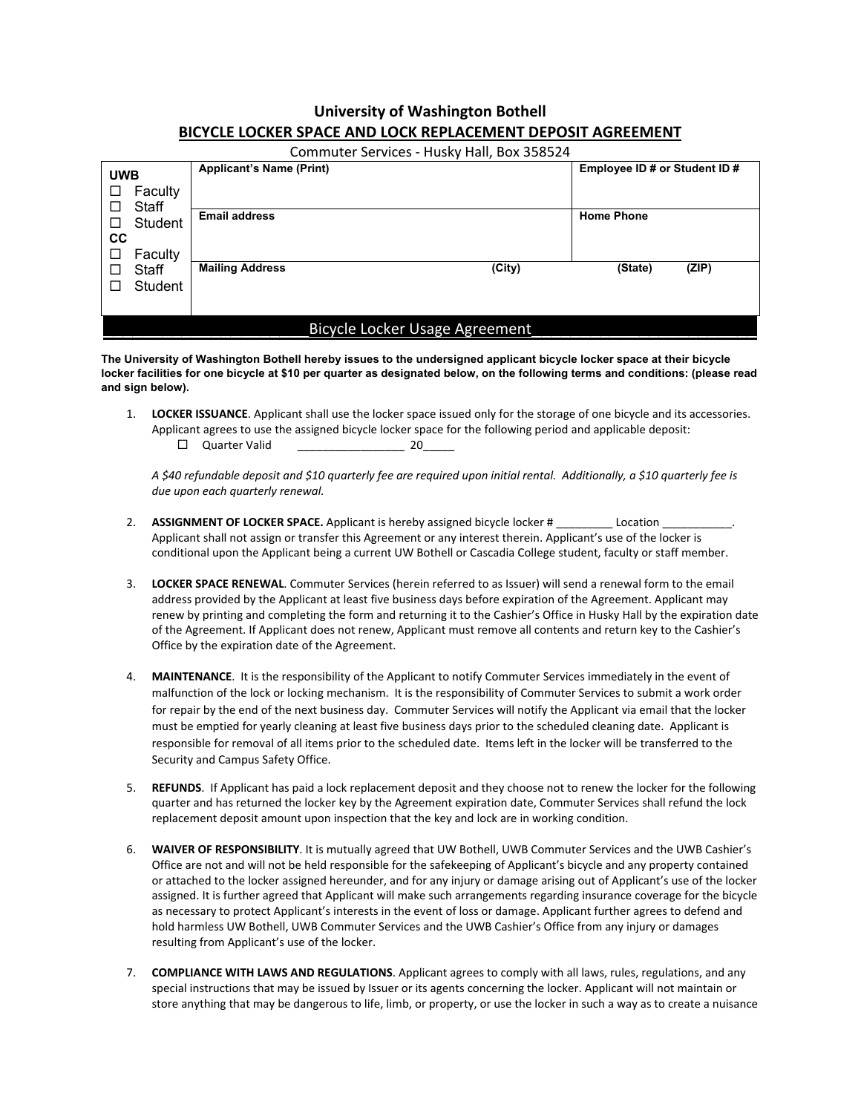## **University of Washington Bothell BICYCLE LOCKER SPACE AND LOCK REPLACEMENT DEPOSIT AGREEMENT**

| Commuter Services - Husky Hall, Box 358524                                                    |                                 |        |                               |       |
|-----------------------------------------------------------------------------------------------|---------------------------------|--------|-------------------------------|-------|
| <b>UWB</b><br>Faculty<br>□<br>Staff<br>□<br>Student<br>П<br>CС<br>Faculty<br>Staff<br>Student | <b>Applicant's Name (Print)</b> |        | Employee ID # or Student ID # |       |
|                                                                                               | <b>Email address</b>            |        | <b>Home Phone</b>             |       |
|                                                                                               | <b>Mailing Address</b>          | (City) | (State)                       | (ZIP) |
| Bicycle Locker Usage Agreement                                                                |                                 |        |                               |       |

**The University of Washington Bothell hereby issues to the undersigned applicant bicycle locker space at their bicycle locker facilities for one bicycle at \$10 per quarter as designated below, on the following terms and conditions: (please read and sign below).** 

1. **LOCKER ISSUANCE**. Applicant shall use the locker space issued only for the storage of one bicycle and its accessories. Applicant agrees to use the assigned bicycle locker space for the following period and applicable deposit:

 $\Box$  Quarter Valid 20

*A \$40 refundable deposit and \$10 quarterly fee are required upon initial rental. Additionally, a \$10 quarterly fee is due upon each quarterly renewal.* 

- 2. **ASSIGNMENT OF LOCKER SPACE.** Applicant is hereby assigned bicycle locker # \_\_\_\_\_\_\_\_\_ Location Applicant shall not assign or transfer this Agreement or any interest therein. Applicant's use of the locker is conditional upon the Applicant being a current UW Bothell or Cascadia College student, faculty or staff member.
- 3. **LOCKER SPACE RENEWAL**. Commuter Services (herein referred to as Issuer) will send a renewal form to the email address provided by the Applicant at least five business days before expiration of the Agreement. Applicant may renew by printing and completing the form and returning it to the Cashier's Office in Husky Hall by the expiration date of the Agreement. If Applicant does not renew, Applicant must remove all contents and return key to the Cashier's Office by the expiration date of the Agreement.
- 4. **MAINTENANCE**. It is the responsibility of the Applicant to notify Commuter Services immediately in the event of malfunction of the lock or locking mechanism. It is the responsibility of Commuter Services to submit a work order for repair by the end of the next business day. Commuter Services will notify the Applicant via email that the locker must be emptied for yearly cleaning at least five business days prior to the scheduled cleaning date. Applicant is responsible for removal of all items prior to the scheduled date. Items left in the locker will be transferred to the Security and Campus Safety Office.
- 5. **REFUNDS**. If Applicant has paid a lock replacement deposit and they choose not to renew the locker for the following quarter and has returned the locker key by the Agreement expiration date, Commuter Services shall refund the lock replacement deposit amount upon inspection that the key and lock are in working condition.
- 6. **WAIVER OF RESPONSIBILITY**. It is mutually agreed that UW Bothell, UWB Commuter Services and the UWB Cashier's Office are not and will not be held responsible for the safekeeping of Applicant's bicycle and any property contained or attached to the locker assigned hereunder, and for any injury or damage arising out of Applicant's use of the locker assigned. It is further agreed that Applicant will make such arrangements regarding insurance coverage for the bicycle as necessary to protect Applicant's interests in the event of loss or damage. Applicant further agrees to defend and hold harmless UW Bothell, UWB Commuter Services and the UWB Cashier's Office from any injury or damages resulting from Applicant's use of the locker.
- 7. **COMPLIANCE WITH LAWS AND REGULATIONS**. Applicant agrees to comply with all laws, rules, regulations, and any special instructions that may be issued by Issuer or its agents concerning the locker. Applicant will not maintain or store anything that may be dangerous to life, limb, or property, or use the locker in such a way as to create a nuisance